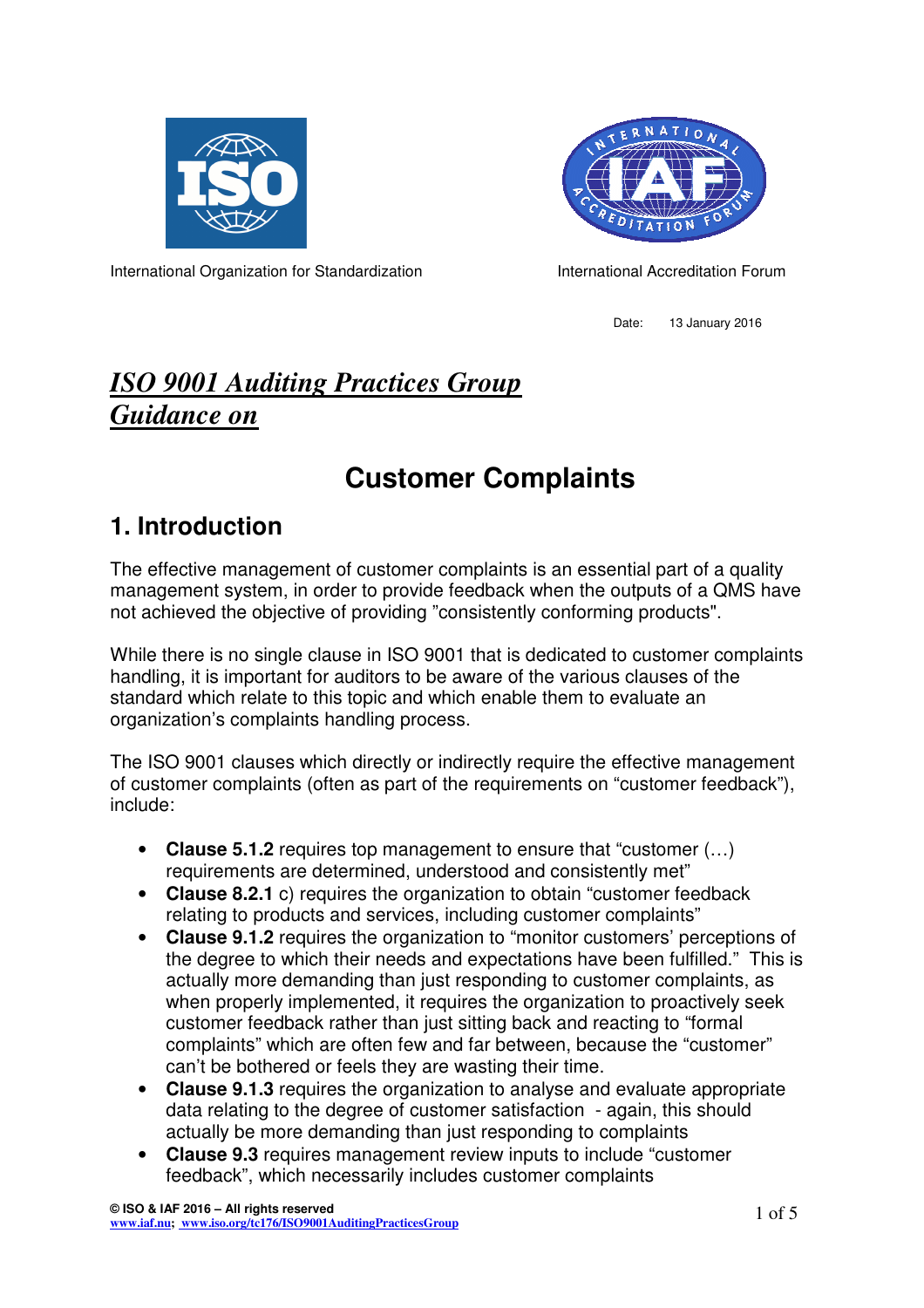



International Organization for Standardization **International Accreditation Forum** 

Date: 13 January 2016

## *ISO 9001 Auditing Practices Group Guidance on*

# **Customer Complaints**

### **1. Introduction**

The effective management of customer complaints is an essential part of a quality management system, in order to provide feedback when the outputs of a QMS have not achieved the objective of providing "consistently conforming products".

While there is no single clause in ISO 9001 that is dedicated to customer complaints handling, it is important for auditors to be aware of the various clauses of the standard which relate to this topic and which enable them to evaluate an organization's complaints handling process.

The ISO 9001 clauses which directly or indirectly require the effective management of customer complaints (often as part of the requirements on "customer feedback"), include:

- **Clause 5.1.2** requires top management to ensure that "customer (…) requirements are determined, understood and consistently met"
- **Clause 8.2.1** c) requires the organization to obtain "customer feedback relating to products and services, including customer complaints"
- **Clause 9.1.2** requires the organization to "monitor customers' perceptions of the degree to which their needs and expectations have been fulfilled." This is actually more demanding than just responding to customer complaints, as when properly implemented, it requires the organization to proactively seek customer feedback rather than just sitting back and reacting to "formal complaints" which are often few and far between, because the "customer" can't be bothered or feels they are wasting their time.
- **Clause 9.1.3** requires the organization to analyse and evaluate appropriate data relating to the degree of customer satisfaction - again, this should actually be more demanding than just responding to complaints
- **Clause 9.3** requires management review inputs to include "customer feedback", which necessarily includes customer complaints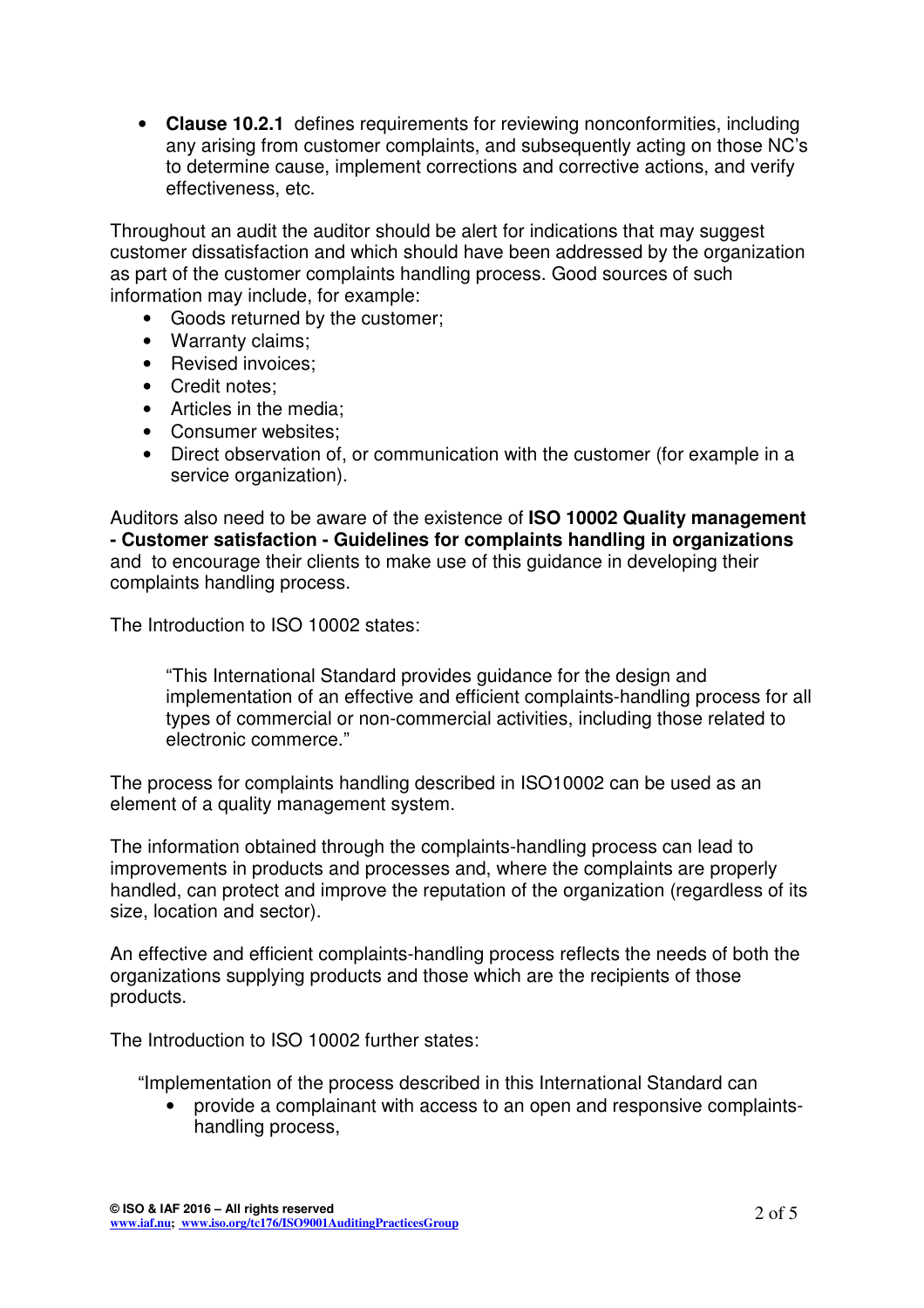• **Clause 10.2.1** defines requirements for reviewing nonconformities, including any arising from customer complaints, and subsequently acting on those NC's to determine cause, implement corrections and corrective actions, and verify effectiveness, etc.

Throughout an audit the auditor should be alert for indications that may suggest customer dissatisfaction and which should have been addressed by the organization as part of the customer complaints handling process. Good sources of such information may include, for example:

- Goods returned by the customer;
- Warranty claims;
- Revised invoices;
- Credit notes;
- Articles in the media;
- Consumer websites;
- Direct observation of, or communication with the customer (for example in a service organization).

Auditors also need to be aware of the existence of **ISO 10002 Quality management - Customer satisfaction - Guidelines for complaints handling in organizations** and to encourage their clients to make use of this guidance in developing their complaints handling process.

The Introduction to ISO 10002 states:

"This International Standard provides guidance for the design and implementation of an effective and efficient complaints-handling process for all types of commercial or non-commercial activities, including those related to electronic commerce."

The process for complaints handling described in ISO10002 can be used as an element of a quality management system.

The information obtained through the complaints-handling process can lead to improvements in products and processes and, where the complaints are properly handled, can protect and improve the reputation of the organization (regardless of its size, location and sector).

An effective and efficient complaints-handling process reflects the needs of both the organizations supplying products and those which are the recipients of those products.

The Introduction to ISO 10002 further states:

"Implementation of the process described in this International Standard can

• provide a complainant with access to an open and responsive complaintshandling process,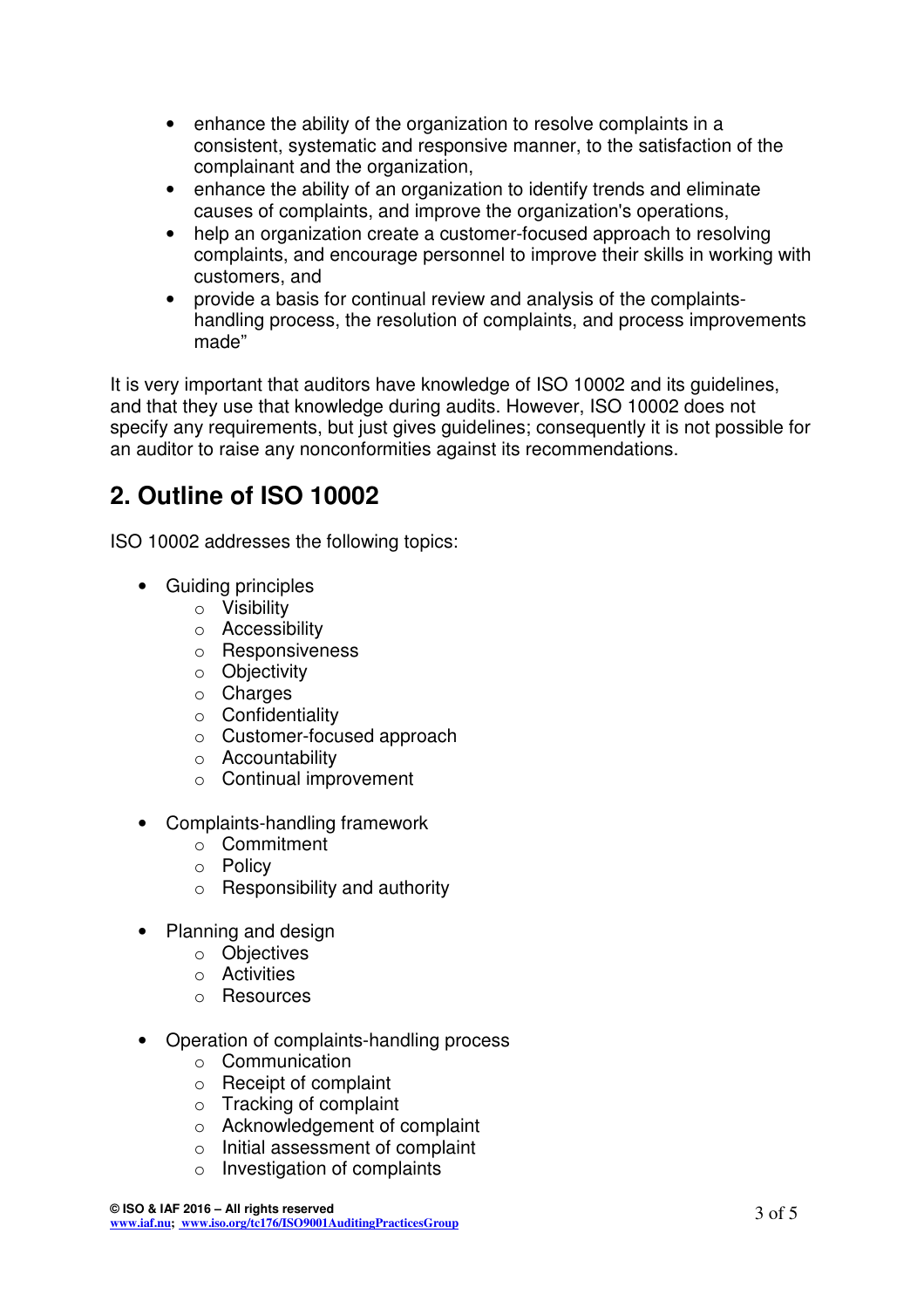- enhance the ability of the organization to resolve complaints in a consistent, systematic and responsive manner, to the satisfaction of the complainant and the organization,
- enhance the ability of an organization to identify trends and eliminate causes of complaints, and improve the organization's operations,
- help an organization create a customer-focused approach to resolving complaints, and encourage personnel to improve their skills in working with customers, and
- provide a basis for continual review and analysis of the complaintshandling process, the resolution of complaints, and process improvements made"

It is very important that auditors have knowledge of ISO 10002 and its guidelines, and that they use that knowledge during audits. However, ISO 10002 does not specify any requirements, but just gives guidelines; consequently it is not possible for an auditor to raise any nonconformities against its recommendations.

#### **2. Outline of ISO 10002**

ISO 10002 addresses the following topics:

- Guiding principles
	- o Visibility
	- o Accessibility
	- o Responsiveness
	- o Objectivity
	- $\circ$  Charges
	- o Confidentiality
	- o Customer-focused approach
	- o Accountability
	- o Continual improvement
- Complaints-handling framework
	- o Commitment
	- o Policy
	- o Responsibility and authority
- Planning and design
	- o Objectives
	- o Activities
	- o Resources
- Operation of complaints-handling process
	- o Communication
	- o Receipt of complaint
	- $\circ$  Tracking of complaint
	- o Acknowledgement of complaint
	- o Initial assessment of complaint
	- o Investigation of complaints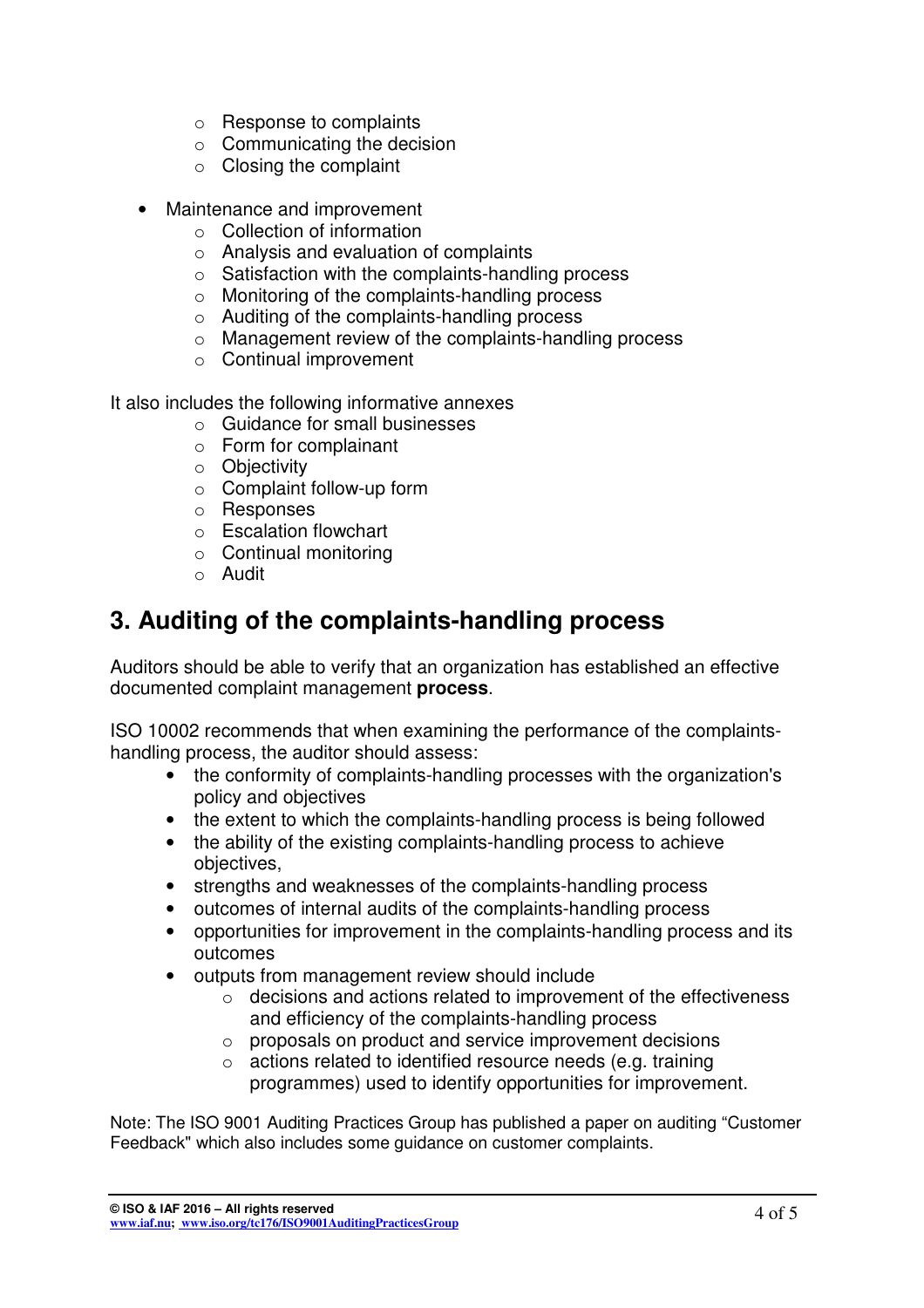- o Response to complaints
- o Communicating the decision
- $\circ$  Closing the complaint
- Maintenance and improvement
	- o Collection of information
	- o Analysis and evaluation of complaints
	- $\circ$  Satisfaction with the complaints-handling process
	- o Monitoring of the complaints-handling process
	- o Auditing of the complaints-handling process
	- o Management review of the complaints-handling process
	- o Continual improvement

It also includes the following informative annexes

- o Guidance for small businesses
- o Form for complainant
- o Objectivity
- $\circ$  Complaint follow-up form
- o Responses
- o Escalation flowchart
- o Continual monitoring
- o Audit

#### **3. Auditing of the complaints-handling process**

Auditors should be able to verify that an organization has established an effective documented complaint management **process**.

ISO 10002 recommends that when examining the performance of the complaintshandling process, the auditor should assess:

- the conformity of complaints-handling processes with the organization's policy and objectives
- the extent to which the complaints-handling process is being followed
- the ability of the existing complaints-handling process to achieve objectives,
- strengths and weaknesses of the complaints-handling process
- outcomes of internal audits of the complaints-handling process
- opportunities for improvement in the complaints-handling process and its outcomes
- outputs from management review should include
	- o decisions and actions related to improvement of the effectiveness and efficiency of the complaints-handling process
	- o proposals on product and service improvement decisions
	- o actions related to identified resource needs (e.g. training programmes) used to identify opportunities for improvement.

Note: The ISO 9001 Auditing Practices Group has published a paper on auditing "Customer Feedback" which also includes some guidance on customer complaints.